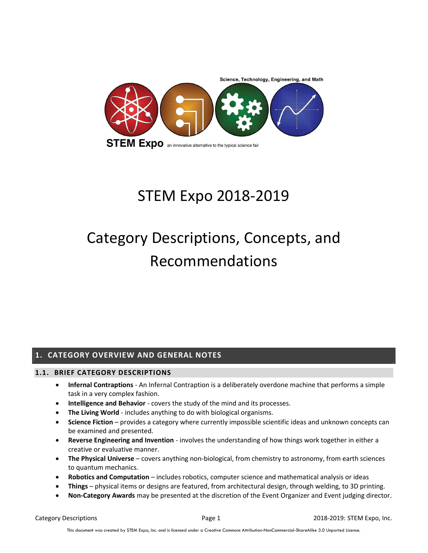

## STEM Expo 2018-2019

# Category Descriptions, Concepts, and Recommendations

## 1. CATEGORY OVERVIEW AND GENERAL NOTES

#### 1.1. BRIEF CATEGORY DESCRIPTIONS

- Infernal Contraptions An Infernal Contraption is a deliberately overdone machine that performs a simple task in a very complex fashion.
- Intelligence and Behavior covers the study of the mind and its processes.
- The Living World includes anything to do with biological organisms.
- Science Fiction provides a category where currently impossible scientific ideas and unknown concepts can be examined and presented.
- Reverse Engineering and Invention involves the understanding of how things work together in either a creative or evaluative manner.
- $\bullet$  The Physical Universe covers anything non-biological, from chemistry to astronomy, from earth sciences to quantum mechanics.
- Robotics and Computation includes robotics, computer science and mathematical analysis or ideas
- Things physical items or designs are featured, from architectural design, through welding, to 3D printing.
- Non-Category Awards may be presented at the discretion of the Event Organizer and Event judging director.

Category Descriptions **Page 1** 2018-2019: STEM Expo, Inc.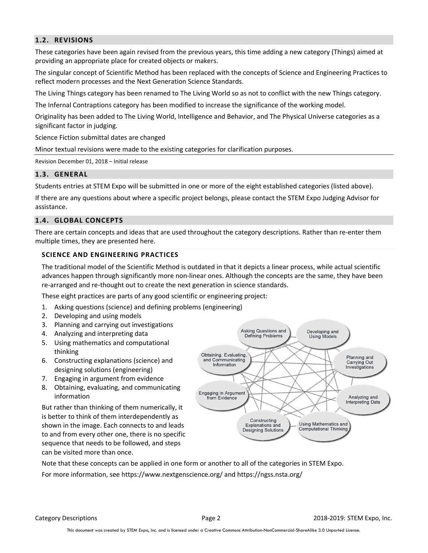#### 1.2. REVISIONS

These categories have been again revised from the previous years, this time adding a new category (Things) aimed at providing an appropriate place for created objects or makers.

The singular concept of Scientific Method has been replaced with the concepts of Science and Engineering Practices to reflect modern processes and the Next Generation Science Standards.

The Living Things category has been renamed to The Living World so as not to conflict with the new Things category.

The Infernal Contraptions category has been modified to increase the significance of the working model.

Originality has been added to The Living World, Intelligence and Behavior, and The Physical Universe categories as a significant factor in judging.

Science Fiction submittal dates are changed

Minor textual revisions were made to the existing categories for clarification purposes.

Revision December 01, 2018 – Initial release

#### 1.3. GENERAL

Students entries at STEM Expo will be submitted in one or more of the eight established categories (listed above).

If there are any questions about where a specific project belongs, please contact the STEM Expo Judging Advisor for assistance.

#### 1.4. GLOBAL CONCEPTS

There are certain concepts and ideas that are used throughout the category descriptions. Rather than re-enter them multiple times, they are presented here.

#### SCIENCE AND ENGINEERING PRACTICES

The traditional model of the Scientific Method is outdated in that it depicts a linear process, while actual scientific advances happen through significantly more non-linear ones. Although the concepts are the same, they have been re-arranged and re-thought out to create the next generation in science standards.

These eight practices are parts of any good scientific or engineering project:

- 1. Asking questions (science) and defining problems (engineering)
- 2. Developing and using models
- 3. Planning and carrying out investigations
- 4. Analyzing and interpreting data
- 5. Using mathematics and computational thinking
- 6. Constructing explanations (science) and designing solutions (engineering)
- 7. Engaging in argument from evidence
- 8. Obtaining, evaluating, and communicating information

But rather than thinking of them numerically, it is better to think of them interdependently as shown in the image. Each connects to and leads to and from every other one, there is no specific sequence that needs to be followed, and steps can be visited more than once.



Note that these concepts can be applied in one form or another to all of the categories in STEM Expo. For more information, see https://www.nextgenscience.org/ and https://ngss.nsta.org/

Category Descriptions **Page 2** 2018-2019: STEM Expo, Inc.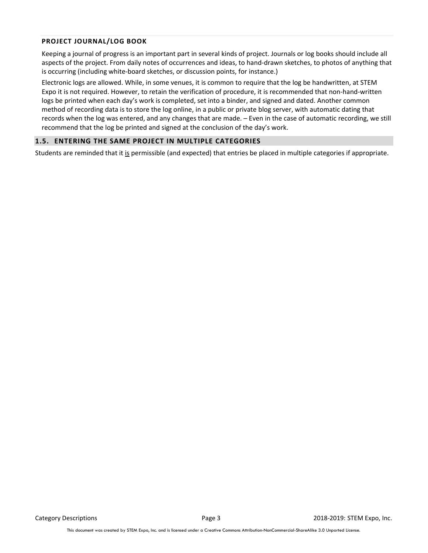#### PROJECT JOURNAL/LOG BOOK

Keeping a journal of progress is an important part in several kinds of project. Journals or log books should include all aspects of the project. From daily notes of occurrences and ideas, to hand-drawn sketches, to photos of anything that is occurring (including white-board sketches, or discussion points, for instance.)

Electronic logs are allowed. While, in some venues, it is common to require that the log be handwritten, at STEM Expo it is not required. However, to retain the verification of procedure, it is recommended that non-hand-written logs be printed when each day's work is completed, set into a binder, and signed and dated. Another common method of recording data is to store the log online, in a public or private blog server, with automatic dating that records when the log was entered, and any changes that are made. – Even in the case of automatic recording, we still recommend that the log be printed and signed at the conclusion of the day's work.

#### 1.5. ENTERING THE SAME PROJECT IN MULTIPLE CATEGORIES

Students are reminded that it is permissible (and expected) that entries be placed in multiple categories if appropriate.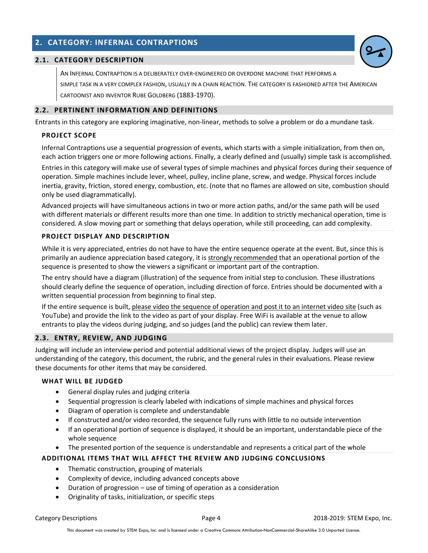## 2. CATEGORY: INFERNAL CONTRAPTIONS

#### 2.1. CATEGORY DESCRIPTION

AN INFERNAL CONTRAPTION IS A DELIBERATELY OVER-ENGINEERED OR OVERDONE MACHINE THAT PERFORMS A SIMPLE TASK IN A VERY COMPLEX FASHION, USUALLY IN A CHAIN REACTION. THE CATEGORY IS FASHIONED AFTER THE AMERICAN CARTOONIST AND INVENTOR RUBE GOLDBERG (1883-1970).

#### 2.2. PERTINENT INFORMATION AND DEFINITIONS

Entrants in this category are exploring imaginative, non-linear, methods to solve a problem or do a mundane task.

#### PROJECT SCOPE

Infernal Contraptions use a sequential progression of events, which starts with a simple initialization, from then on, each action triggers one or more following actions. Finally, a clearly defined and (usually) simple task is accomplished.

Entries in this category will make use of several types of simple machines and physical forces during their sequence of operation. Simple machines include lever, wheel, pulley, incline plane, screw, and wedge. Physical forces include inertia, gravity, friction, stored energy, combustion, etc. (note that no flames are allowed on site, combustion should only be used diagrammatically).

Advanced projects will have simultaneous actions in two or more action paths, and/or the same path will be used with different materials or different results more than one time. In addition to strictly mechanical operation, time is considered. A slow moving part or something that delays operation, while still proceeding, can add complexity.

#### PROJECT DISPLAY AND DESCRIPTION

While it is very appreciated, entries do not have to have the entire sequence operate at the event. But, since this is primarily an audience appreciation based category, it is strongly recommended that an operational portion of the sequence is presented to show the viewers a significant or important part of the contraption.

The entry should have a diagram (illustration) of the sequence from initial step to conclusion. These illustrations should clearly define the sequence of operation, including direction of force. Entries should be documented with a written sequential procession from beginning to final step.

If the entire sequence is built, please video the sequence of operation and post it to an internet video site (such as YouTube) and provide the link to the video as part of your display. Free WiFi is available at the venue to allow entrants to play the videos during judging, and so judges (and the public) can review them later.

#### 2.3. ENTRY, REVIEW, AND JUDGING

Judging will include an interview period and potential additional views of the project display. Judges will use an understanding of the category, this document, the rubric, and the general rules in their evaluations. Please review these documents for other items that may be considered.

#### WHAT WILL BE JUDGED

- General display rules and judging criteria
- Sequential progression is clearly labeled with indications of simple machines and physical forces
- Diagram of operation is complete and understandable
- If constructed and/or video recorded, the sequence fully runs with little to no outside intervention
- If an operational portion of sequence is displayed, it should be an important, understandable piece of the whole sequence
- The presented portion of the sequence is understandable and represents a critical part of the whole

- Thematic construction, grouping of materials
- Complexity of device, including advanced concepts above
- Duration of progression use of timing of operation as a consideration
- Originality of tasks, initialization, or specific steps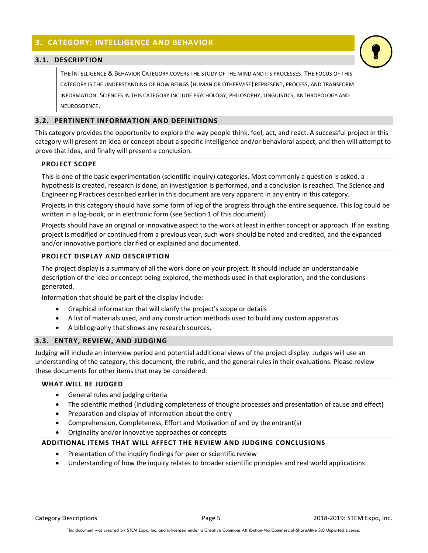## 3. CATEGORY: INTELLIGENCE AND BEHAVIOR

#### 3.1. DESCRIPTION

THE INTELLIGENCE & BEHAVIOR CATEGORY COVERS THE STUDY OF THE MIND AND ITS PROCESSES. THE FOCUS OF THIS CATEGORY IS THE UNDERSTANDING OF HOW BEINGS (HUMAN OR OTHERWISE) REPRESENT, PROCESS, AND TRANSFORM INFORMATION. SCIENCES IN THIS CATEGORY INCLUDE PSYCHOLOGY, PHILOSOPHY, LINGUISTICS, ANTHROPOLOGY AND NEUROSCIENCE.

#### 3.2. PERTINENT INFORMATION AND DEFINITIONS

This category provides the opportunity to explore the way people think, feel, act, and react. A successful project in this category will present an idea or concept about a specific intelligence and/or behavioral aspect, and then will attempt to prove that idea, and finally will present a conclusion.

#### PROJECT SCOPE

This is one of the basic experimentation (scientific inquiry) categories. Most commonly a question is asked, a hypothesis is created, research is done, an investigation is performed, and a conclusion is reached. The Science and Engineering Practices described earlier in this document are very apparent in any entry in this category.

Projects in this category should have some form of log of the progress through the entire sequence. This log could be written in a log-book, or in electronic form (see Section 1 of this document).

Projects should have an original or innovative aspect to the work at least in either concept or approach. If an existing project is modified or continued from a previous year, such work should be noted and credited, and the expanded and/or innovative portions clarified or explained and documented.

#### PROJECT DISPLAY AND DESCRIPTION

The project display is a summary of all the work done on your project. It should include an understandable description of the idea or concept being explored, the methods used in that exploration, and the conclusions generated.

Information that should be part of the display include:

- Graphical information that will clarify the project's scope or details
- A list of materials used, and any construction methods used to build any custom apparatus
- A bibliography that shows any research sources.

#### 3.3. ENTRY, REVIEW, AND JUDGING

Judging will include an interview period and potential additional views of the project display. Judges will use an understanding of the category, this document, the rubric, and the general rules in their evaluations. Please review these documents for other items that may be considered.

#### WHAT WILL BE JUDGED

- General rules and judging criteria
- The scientific method (including completeness of thought processes and presentation of cause and effect)
- Preparation and display of information about the entry
- Comprehension, Completeness, Effort and Motivation of and by the entrant(s)
- Originality and/or innovative approaches or concepts

- Presentation of the inquiry findings for peer or scientific review
- Understanding of how the inquiry relates to broader scientific principles and real world applications

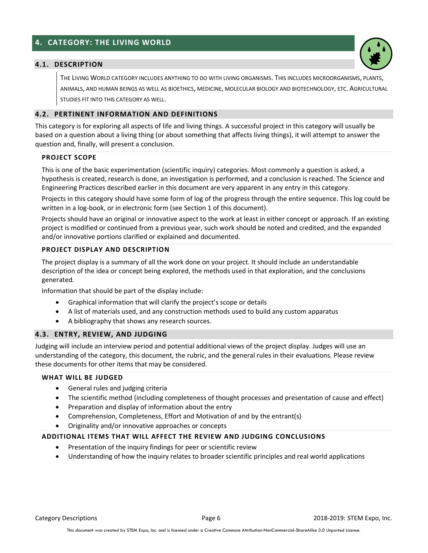## 4. CATEGORY: THE LIVING WORLD

#### 4.1. DESCRIPTION

THE LIVING WORLD CATEGORY INCLUDES ANYTHING TO DO WITH LIVING ORGANISMS. THIS INCLUDES MICROORGANISMS, PLANTS, ANIMALS, AND HUMAN BEINGS AS WELL AS BIOETHICS, MEDICINE, MOLECULAR BIOLOGY AND BIOTECHNOLOGY, ETC. AGRICULTURAL STUDIES FIT INTO THIS CATEGORY AS WELL.

#### 4.2. PERTINENT INFORMATION AND DEFINITIONS

This category is for exploring all aspects of life and living things. A successful project in this category will usually be based on a question about a living thing (or about something that affects living things), it will attempt to answer the question and, finally, will present a conclusion.

#### PROJECT SCOPE

This is one of the basic experimentation (scientific inquiry) categories. Most commonly a question is asked, a hypothesis is created, research is done, an investigation is performed, and a conclusion is reached. The Science and Engineering Practices described earlier in this document are very apparent in any entry in this category.

Projects in this category should have some form of log of the progress through the entire sequence. This log could be written in a log-book, or in electronic form (see Section 1 of this document).

Projects should have an original or innovative aspect to the work at least in either concept or approach. If an existing project is modified or continued from a previous year, such work should be noted and credited, and the expanded and/or innovative portions clarified or explained and documented.

#### PROJECT DISPLAY AND DESCRIPTION

The project display is a summary of all the work done on your project. It should include an understandable description of the idea or concept being explored, the methods used in that exploration, and the conclusions generated.

Information that should be part of the display include:

- Graphical information that will clarify the project's scope or details
- A list of materials used, and any construction methods used to build any custom apparatus
- A bibliography that shows any research sources.

#### 4.3. ENTRY, REVIEW, AND JUDGING

Judging will include an interview period and potential additional views of the project display. Judges will use an understanding of the category, this document, the rubric, and the general rules in their evaluations. Please review these documents for other items that may be considered.

#### WHAT WILL BE JUDGED

- General rules and judging criteria
- The scientific method (including completeness of thought processes and presentation of cause and effect)
- Preparation and display of information about the entry
- Comprehension, Completeness, Effort and Motivation of and by the entrant(s)
- Originality and/or innovative approaches or concepts

- Presentation of the inquiry findings for peer or scientific review
- Understanding of how the inquiry relates to broader scientific principles and real world applications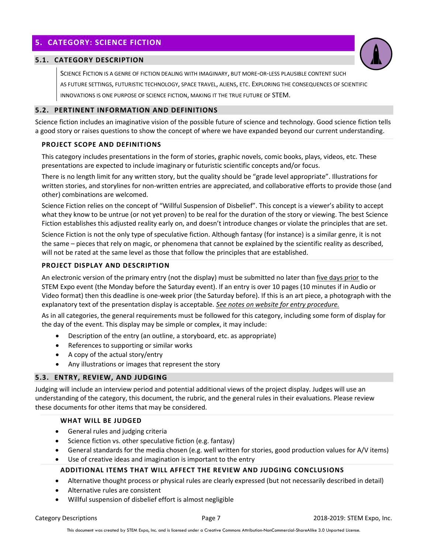## 5. CATEGORY: SCIENCE FICTION

#### 5.1. CATEGORY DESCRIPTION

SCIENCE FICTION IS A GENRE OF FICTION DEALING WITH IMAGINARY, BUT MORE-OR-LESS PLAUSIBLE CONTENT SUCH AS FUTURE SETTINGS, FUTURISTIC TECHNOLOGY, SPACE TRAVEL, ALIENS, ETC. EXPLORING THE CONSEQUENCES OF SCIENTIFIC INNOVATIONS IS ONE PURPOSE OF SCIENCE FICTION, MAKING IT THE TRUE FUTURE OF STEM.

#### 5.2. PERTINENT INFORMATION AND DEFINITIONS

Science fiction includes an imaginative vision of the possible future of science and technology. Good science fiction tells a good story or raises questions to show the concept of where we have expanded beyond our current understanding.

#### PROJECT SCOPE AND DEFINITIONS

This category includes presentations in the form of stories, graphic novels, comic books, plays, videos, etc. These presentations are expected to include imaginary or futuristic scientific concepts and/or focus.

There is no length limit for any written story, but the quality should be "grade level appropriate". Illustrations for written stories, and storylines for non-written entries are appreciated, and collaborative efforts to provide those (and other) combinations are welcomed.

Science Fiction relies on the concept of "Willful Suspension of Disbelief". This concept is a viewer's ability to accept what they know to be untrue (or not yet proven) to be real for the duration of the story or viewing. The best Science Fiction establishes this adjusted reality early on, and doesn't introduce changes or violate the principles that are set.

Science Fiction is not the only type of speculative fiction. Although fantasy (for instance) is a similar genre, it is not the same – pieces that rely on magic, or phenomena that cannot be explained by the scientific reality as described, will not be rated at the same level as those that follow the principles that are established.

#### PROJECT DISPLAY AND DESCRIPTION

An electronic version of the primary entry (not the display) must be submitted no later than five days prior to the STEM Expo event (the Monday before the Saturday event). If an entry is over 10 pages (10 minutes if in Audio or Video format) then this deadline is one-week prior (the Saturday before). If this is an art piece, a photograph with the explanatory text of the presentation display is acceptable. See notes on website for entry procedure.

As in all categories, the general requirements must be followed for this category, including some form of display for the day of the event. This display may be simple or complex, it may include:

- Description of the entry (an outline, a storyboard, etc. as appropriate)
- References to supporting or similar works
- $\bullet$  A copy of the actual story/entry
- Any illustrations or images that represent the story

#### 5.3. ENTRY, REVIEW, AND JUDGING

Judging will include an interview period and potential additional views of the project display. Judges will use an understanding of the category, this document, the rubric, and the general rules in their evaluations. Please review these documents for other items that may be considered.

#### WHAT WILL BE JUDGED

- General rules and judging criteria
- Science fiction vs. other speculative fiction (e.g. fantasy)
- General standards for the media chosen (e.g. well written for stories, good production values for A/V items)
- Use of creative ideas and imagination is important to the entry

- Alternative thought process or physical rules are clearly expressed (but not necessarily described in detail)
- Alternative rules are consistent
- Willful suspension of disbelief effort is almost negligible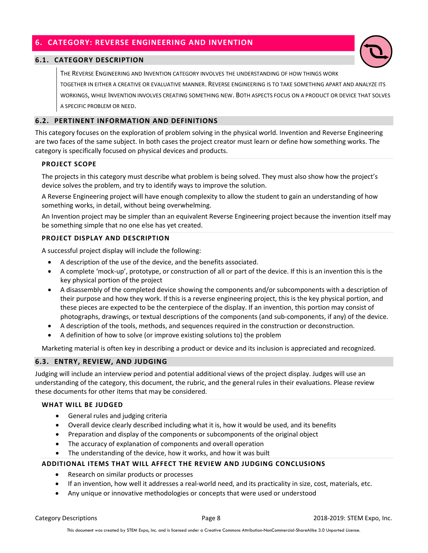## 6. CATEGORY: REVERSE ENGINEERING AND INVENTION

#### 6.1. CATEGORY DESCRIPTION

THE REVERSE ENGINEERING AND INVENTION CATEGORY INVOLVES THE UNDERSTANDING OF HOW THINGS WORK TOGETHER IN EITHER A CREATIVE OR EVALUATIVE MANNER. REVERSE ENGINEERING IS TO TAKE SOMETHING APART AND ANALYZE ITS WORKINGS, WHILE INVENTION INVOLVES CREATING SOMETHING NEW. BOTH ASPECTS FOCUS ON A PRODUCT OR DEVICE THAT SOLVES A SPECIFIC PROBLEM OR NEED.

#### 6.2. PERTINENT INFORMATION AND DEFINITIONS

This category focuses on the exploration of problem solving in the physical world. Invention and Reverse Engineering are two faces of the same subject. In both cases the project creator must learn or define how something works. The category is specifically focused on physical devices and products.

#### PROJECT SCOPE

The projects in this category must describe what problem is being solved. They must also show how the project's device solves the problem, and try to identify ways to improve the solution.

A Reverse Engineering project will have enough complexity to allow the student to gain an understanding of how something works, in detail, without being overwhelming.

An Invention project may be simpler than an equivalent Reverse Engineering project because the invention itself may be something simple that no one else has yet created.

#### PROJECT DISPLAY AND DESCRIPTION

A successful project display will include the following:

- A description of the use of the device, and the benefits associated.
- A complete 'mock-up', prototype, or construction of all or part of the device. If this is an invention this is the key physical portion of the project
- A disassembly of the completed device showing the components and/or subcomponents with a description of their purpose and how they work. If this is a reverse engineering project, this is the key physical portion, and these pieces are expected to be the centerpiece of the display. If an invention, this portion may consist of photographs, drawings, or textual descriptions of the components (and sub-components, if any) of the device.
- A description of the tools, methods, and sequences required in the construction or deconstruction.
- A definition of how to solve (or improve existing solutions to) the problem

Marketing material is often key in describing a product or device and its inclusion is appreciated and recognized.

#### 6.3. ENTRY, REVIEW, AND JUDGING

Judging will include an interview period and potential additional views of the project display. Judges will use an understanding of the category, this document, the rubric, and the general rules in their evaluations. Please review these documents for other items that may be considered.

#### WHAT WILL BE JUDGED

- General rules and judging criteria
- Overall device clearly described including what it is, how it would be used, and its benefits
- Preparation and display of the components or subcomponents of the original object
- The accuracy of explanation of components and overall operation
- The understanding of the device, how it works, and how it was built

- Research on similar products or processes
- If an invention, how well it addresses a real-world need, and its practicality in size, cost, materials, etc.
- Any unique or innovative methodologies or concepts that were used or understood

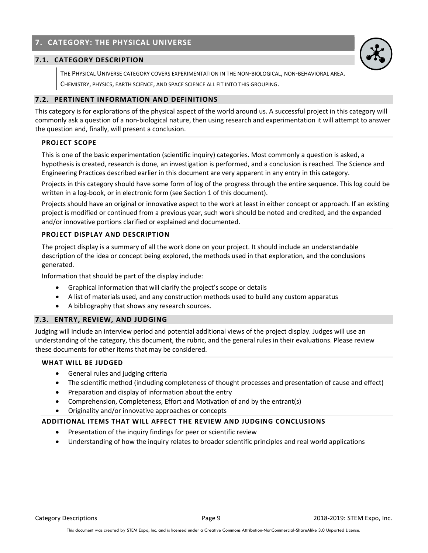## 7. CATEGORY: THE PHYSICAL UNIVERSE

#### 7.1. CATEGORY DESCRIPTION

THE PHYSICAL UNIVERSE CATEGORY COVERS EXPERIMENTATION IN THE NON-BIOLOGICAL, NON-BEHAVIORAL AREA. CHEMISTRY, PHYSICS, EARTH SCIENCE, AND SPACE SCIENCE ALL FIT INTO THIS GROUPING.

#### 7.2. PERTINENT INFORMATION AND DEFINITIONS

This category is for explorations of the physical aspect of the world around us. A successful project in this category will commonly ask a question of a non-biological nature, then using research and experimentation it will attempt to answer the question and, finally, will present a conclusion.

#### PROJECT SCOPE

This is one of the basic experimentation (scientific inquiry) categories. Most commonly a question is asked, a hypothesis is created, research is done, an investigation is performed, and a conclusion is reached. The Science and Engineering Practices described earlier in this document are very apparent in any entry in this category.

Projects in this category should have some form of log of the progress through the entire sequence. This log could be written in a log-book, or in electronic form (see Section 1 of this document).

Projects should have an original or innovative aspect to the work at least in either concept or approach. If an existing project is modified or continued from a previous year, such work should be noted and credited, and the expanded and/or innovative portions clarified or explained and documented.

#### PROJECT DISPLAY AND DESCRIPTION

The project display is a summary of all the work done on your project. It should include an understandable description of the idea or concept being explored, the methods used in that exploration, and the conclusions generated.

Information that should be part of the display include:

- Graphical information that will clarify the project's scope or details
- A list of materials used, and any construction methods used to build any custom apparatus
- A bibliography that shows any research sources.

#### 7.3. ENTRY, REVIEW, AND JUDGING

Judging will include an interview period and potential additional views of the project display. Judges will use an understanding of the category, this document, the rubric, and the general rules in their evaluations. Please review these documents for other items that may be considered.

#### WHAT WILL BE JUDGED

- General rules and judging criteria
- The scientific method (including completeness of thought processes and presentation of cause and effect)
- Preparation and display of information about the entry
- Comprehension, Completeness, Effort and Motivation of and by the entrant(s)
- Originality and/or innovative approaches or concepts

- Presentation of the inquiry findings for peer or scientific review
- Understanding of how the inquiry relates to broader scientific principles and real world applications

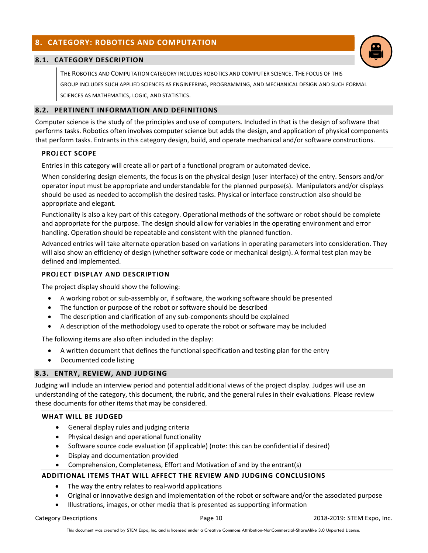## 8. CATEGORY: ROBOTICS AND COMPUTATION

#### 8.1. CATEGORY DESCRIPTION

THE ROBOTICS AND COMPUTATION CATEGORY INCLUDES ROBOTICS AND COMPUTER SCIENCE. THE FOCUS OF THIS GROUP INCLUDES SUCH APPLIED SCIENCES AS ENGINEERING, PROGRAMMING, AND MECHANICAL DESIGN AND SUCH FORMAL SCIENCES AS MATHEMATICS, LOGIC, AND STATISTICS.

#### 8.2. PERTINENT INFORMATION AND DEFINITIONS

Computer science is the study of the principles and use of computers. Included in that is the design of software that performs tasks. Robotics often involves computer science but adds the design, and application of physical components that perform tasks. Entrants in this category design, build, and operate mechanical and/or software constructions.

#### PROJECT SCOPE

Entries in this category will create all or part of a functional program or automated device.

When considering design elements, the focus is on the physical design (user interface) of the entry. Sensors and/or operator input must be appropriate and understandable for the planned purpose(s). Manipulators and/or displays should be used as needed to accomplish the desired tasks. Physical or interface construction also should be appropriate and elegant.

Functionality is also a key part of this category. Operational methods of the software or robot should be complete and appropriate for the purpose. The design should allow for variables in the operating environment and error handling. Operation should be repeatable and consistent with the planned function.

Advanced entries will take alternate operation based on variations in operating parameters into consideration. They will also show an efficiency of design (whether software code or mechanical design). A formal test plan may be defined and implemented.

#### PROJECT DISPLAY AND DESCRIPTION

The project display should show the following:

- A working robot or sub-assembly or, if software, the working software should be presented
- The function or purpose of the robot or software should be described
- The description and clarification of any sub-components should be explained
- A description of the methodology used to operate the robot or software may be included

The following items are also often included in the display:

- A written document that defines the functional specification and testing plan for the entry
- Documented code listing

#### 8.3. ENTRY, REVIEW, AND JUDGING

Judging will include an interview period and potential additional views of the project display. Judges will use an understanding of the category, this document, the rubric, and the general rules in their evaluations. Please review these documents for other items that may be considered.

#### WHAT WILL BE JUDGED

- General display rules and judging criteria
- Physical design and operational functionality
- Software source code evaluation (if applicable) (note: this can be confidential if desired)
- Display and documentation provided
- Comprehension, Completeness, Effort and Motivation of and by the entrant(s)

#### ADDITIONAL ITEMS THAT WILL AFFECT THE REVIEW AND JUDGING CONCLUSIONS

- The way the entry relates to real-world applications
- Original or innovative design and implementation of the robot or software and/or the associated purpose
- Illustrations, images, or other media that is presented as supporting information

Category Descriptions Page 10 2018-2019: STEM Expo, Inc.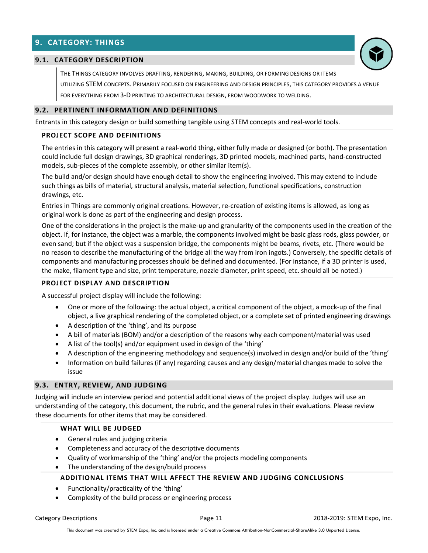## 9. CATEGORY: THINGS



#### 9.1. CATEGORY DESCRIPTION

THE THINGS CATEGORY INVOLVES DRAFTING, RENDERING, MAKING, BUILDING, OR FORMING DESIGNS OR ITEMS UTILIZING STEM CONCEPTS. PRIMARILY FOCUSED ON ENGINEERING AND DESIGN PRINCIPLES, THIS CATEGORY PROVIDES A VENUE

FOR EVERYTHING FROM 3-D PRINTING TO ARCHITECTURAL DESIGN, FROM WOODWORK TO WELDING.

#### 9.2. PERTINENT INFORMATION AND DEFINITIONS

Entrants in this category design or build something tangible using STEM concepts and real-world tools.

#### PROJECT SCOPE AND DEFINITIONS

The entries in this category will present a real-world thing, either fully made or designed (or both). The presentation could include full design drawings, 3D graphical renderings, 3D printed models, machined parts, hand-constructed models, sub-pieces of the complete assembly, or other similar item(s).

The build and/or design should have enough detail to show the engineering involved. This may extend to include such things as bills of material, structural analysis, material selection, functional specifications, construction drawings, etc.

Entries in Things are commonly original creations. However, re-creation of existing items is allowed, as long as original work is done as part of the engineering and design process.

One of the considerations in the project is the make-up and granularity of the components used in the creation of the object. If, for instance, the object was a marble, the components involved might be basic glass rods, glass powder, or even sand; but if the object was a suspension bridge, the components might be beams, rivets, etc. (There would be no reason to describe the manufacturing of the bridge all the way from iron ingots.) Conversely, the specific details of components and manufacturing processes should be defined and documented. (For instance, if a 3D printer is used, the make, filament type and size, print temperature, nozzle diameter, print speed, etc. should all be noted.)

#### PROJECT DISPLAY AND DESCRIPTION

A successful project display will include the following:

- One or more of the following: the actual object, a critical component of the object, a mock-up of the final object, a live graphical rendering of the completed object, or a complete set of printed engineering drawings
- A description of the 'thing', and its purpose
- A bill of materials (BOM) and/or a description of the reasons why each component/material was used
- A list of the tool(s) and/or equipment used in design of the 'thing'
- A description of the engineering methodology and sequence(s) involved in design and/or build of the 'thing'
- Information on build failures (if any) regarding causes and any design/material changes made to solve the issue

#### 9.3. ENTRY, REVIEW, AND JUDGING

Judging will include an interview period and potential additional views of the project display. Judges will use an understanding of the category, this document, the rubric, and the general rules in their evaluations. Please review these documents for other items that may be considered.

#### WHAT WILL BE JUDGED

- General rules and judging criteria
- Completeness and accuracy of the descriptive documents
- Quality of workmanship of the 'thing' and/or the projects modeling components
- The understanding of the design/build process

#### ADDITIONAL ITEMS THAT WILL AFFECT THE REVIEW AND JUDGING CONCLUSIONS

- Functionality/practicality of the 'thing'
- Complexity of the build process or engineering process

Category Descriptions **Page 11** 2018-2019: STEM Expo, Inc.